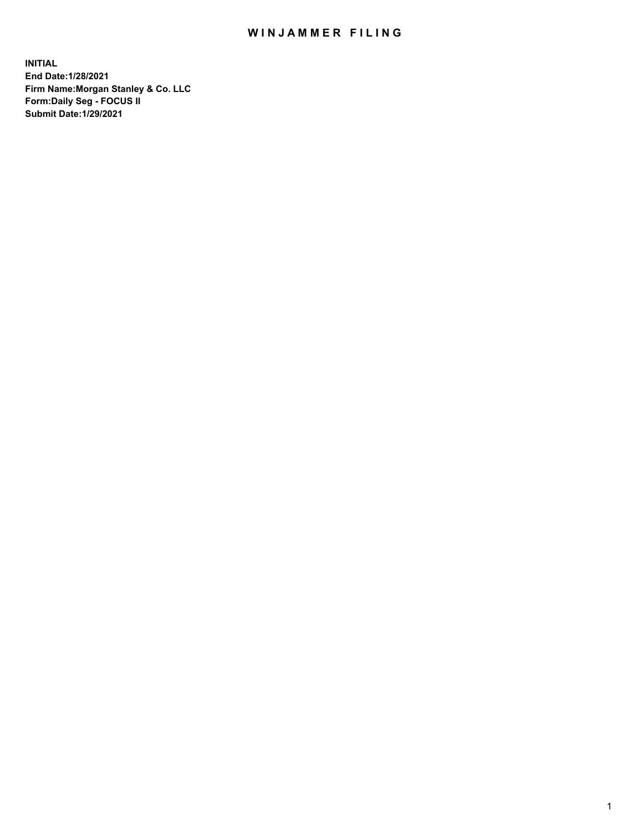## WIN JAMMER FILING

**INITIAL End Date:1/28/2021 Firm Name:Morgan Stanley & Co. LLC Form:Daily Seg - FOCUS II Submit Date:1/29/2021**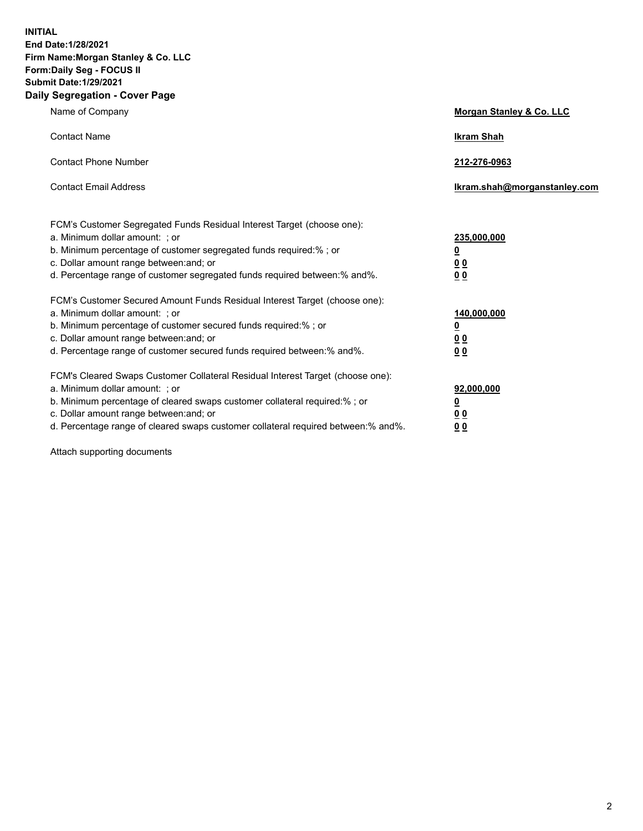**INITIAL End Date:1/28/2021 Firm Name:Morgan Stanley & Co. LLC Form:Daily Seg - FOCUS II Submit Date:1/29/2021 Daily Segregation - Cover Page**

| Name of Company                                                                                                                                                                                                                                                                                                                | Morgan Stanley & Co. LLC                                    |
|--------------------------------------------------------------------------------------------------------------------------------------------------------------------------------------------------------------------------------------------------------------------------------------------------------------------------------|-------------------------------------------------------------|
| <b>Contact Name</b>                                                                                                                                                                                                                                                                                                            | <b>Ikram Shah</b>                                           |
| <b>Contact Phone Number</b>                                                                                                                                                                                                                                                                                                    | 212-276-0963                                                |
| <b>Contact Email Address</b>                                                                                                                                                                                                                                                                                                   | lkram.shah@morganstanley.com                                |
| FCM's Customer Segregated Funds Residual Interest Target (choose one):<br>a. Minimum dollar amount: ; or<br>b. Minimum percentage of customer segregated funds required:% ; or<br>c. Dollar amount range between: and; or<br>d. Percentage range of customer segregated funds required between:% and%.                         | 235,000,000<br><u>0</u><br>0 <sup>0</sup><br>00             |
| FCM's Customer Secured Amount Funds Residual Interest Target (choose one):<br>a. Minimum dollar amount: : or<br>b. Minimum percentage of customer secured funds required:%; or<br>c. Dollar amount range between: and; or<br>d. Percentage range of customer secured funds required between: % and %.                          | 140,000,000<br><u>0</u><br>0 <sub>0</sub><br>0 <sub>0</sub> |
| FCM's Cleared Swaps Customer Collateral Residual Interest Target (choose one):<br>a. Minimum dollar amount: ; or<br>b. Minimum percentage of cleared swaps customer collateral required:% ; or<br>c. Dollar amount range between: and; or<br>d. Percentage range of cleared swaps customer collateral required between:% and%. | 92,000,000<br><u>0</u><br><u>00</u><br>00                   |

Attach supporting documents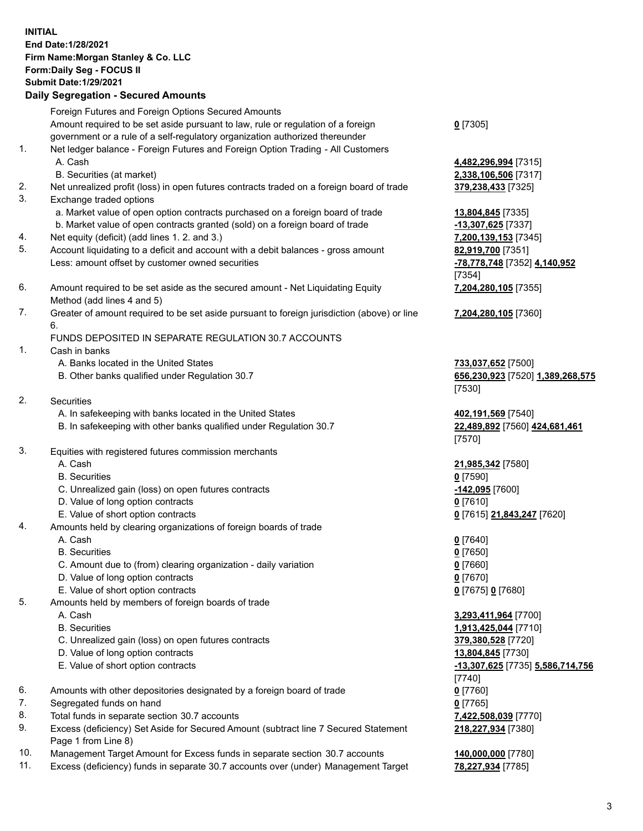## **INITIAL End Date:1/28/2021 Firm Name:Morgan Stanley & Co. LLC Form:Daily Seg - FOCUS II Submit Date:1/29/2021**

**Daily Segregation - Secured Amounts** Foreign Futures and Foreign Options Secured Amounts Amount required to be set aside pursuant to law, rule or regulation of a foreign government or a rule of a self-regulatory organization authorized thereunder 1. Net ledger balance - Foreign Futures and Foreign Option Trading - All Customers A. Cash **4,482,296,994** [7315] B. Securities (at market) **2,338,106,506** [7317] 2. Net unrealized profit (loss) in open futures contracts traded on a foreign board of trade **379,238,433** [7325] 3. Exchange traded options a. Market value of open option contracts purchased on a foreign board of trade **13,804,845** [7335] b. Market value of open contracts granted (sold) on a foreign board of trade **-13,307,625** [7337] 4. Net equity (deficit) (add lines 1. 2. and 3.) **7,200,139,153** [7345] 5. Account liquidating to a deficit and account with a debit balances - gross amount **82,919,700** [7351] Less: amount offset by customer owned securities **-78,778,748** [7352] **4,140,952** 6. Amount required to be set aside as the secured amount - Net Liquidating Equity Method (add lines 4 and 5) 7. Greater of amount required to be set aside pursuant to foreign jurisdiction (above) or line 6. FUNDS DEPOSITED IN SEPARATE REGULATION 30.7 ACCOUNTS 1. Cash in banks A. Banks located in the United States **733,037,652** [7500] B. Other banks qualified under Regulation 30.7 **656,230,923** [7520] **1,389,268,575** 2. Securities A. In safekeeping with banks located in the United States **402,191,569** [7540] B. In safekeeping with other banks qualified under Regulation 30.7 **22,489,892** [7560] **424,681,461** 3. Equities with registered futures commission merchants A. Cash **21,985,342** [7580] B. Securities **0** [7590] C. Unrealized gain (loss) on open futures contracts **-142,095** [7600] D. Value of long option contracts **0** [7610] E. Value of short option contracts **0** [7615] **21,843,247** [7620] 4. Amounts held by clearing organizations of foreign boards of trade A. Cash **0** [7640] B. Securities **0** [7650] C. Amount due to (from) clearing organization - daily variation **0** [7660] D. Value of long option contracts **0** [7670] E. Value of short option contracts **0** [7675] **0** [7680] 5. Amounts held by members of foreign boards of trade

- 
- 
- C. Unrealized gain (loss) on open futures contracts **379,380,528** [7720]
- D. Value of long option contracts **13,804,845** [7730]
- 
- 6. Amounts with other depositories designated by a foreign board of trade **0** [7760]
- 7. Segregated funds on hand **0** [7765]
- 8. Total funds in separate section 30.7 accounts **7,422,508,039** [7770]
- 9. Excess (deficiency) Set Aside for Secured Amount (subtract line 7 Secured Statement Page 1 from Line 8)
- 10. Management Target Amount for Excess funds in separate section 30.7 accounts **140,000,000** [7780]
- 11. Excess (deficiency) funds in separate 30.7 accounts over (under) Management Target **78,227,934** [7785]

**0** [7305]

[7354] **7,204,280,105** [7355]

**7,204,280,105** [7360]

[7530]

[7570]

 A. Cash **3,293,411,964** [7700] B. Securities **1,913,425,044** [7710] E. Value of short option contracts **-13,307,625** [7735] **5,586,714,756** [7740] **218,227,934** [7380]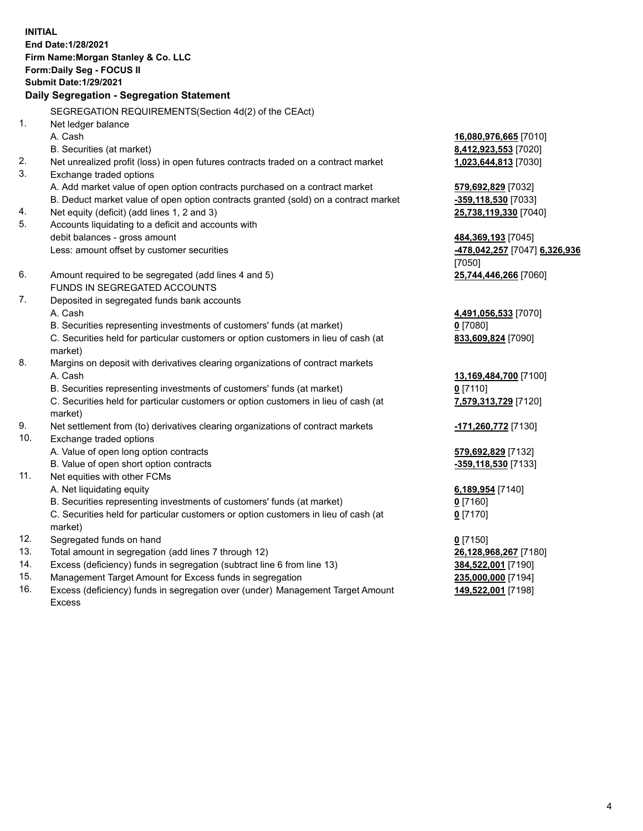**INITIAL End Date:1/28/2021 Firm Name:Morgan Stanley & Co. LLC Form:Daily Seg - FOCUS II Submit Date:1/29/2021 Daily Segregation - Segregation Statement** SEGREGATION REQUIREMENTS(Section 4d(2) of the CEAct) 1. Net ledger balance A. Cash **16,080,976,665** [7010] B. Securities (at market) **8,412,923,553** [7020] 2. Net unrealized profit (loss) in open futures contracts traded on a contract market **1,023,644,813** [7030] 3. Exchange traded options A. Add market value of open option contracts purchased on a contract market **579,692,829** [7032] B. Deduct market value of open option contracts granted (sold) on a contract market **-359,118,530** [7033] 4. Net equity (deficit) (add lines 1, 2 and 3) **25,738,119,330** [7040] 5. Accounts liquidating to a deficit and accounts with debit balances - gross amount **484,369,193** [7045] Less: amount offset by customer securities **-478,042,257** [7047] **6,326,936** [7050] 6. Amount required to be segregated (add lines 4 and 5) **25,744,446,266** [7060] FUNDS IN SEGREGATED ACCOUNTS 7. Deposited in segregated funds bank accounts A. Cash **4,491,056,533** [7070] B. Securities representing investments of customers' funds (at market) **0** [7080] C. Securities held for particular customers or option customers in lieu of cash (at market) **833,609,824** [7090] 8. Margins on deposit with derivatives clearing organizations of contract markets A. Cash **13,169,484,700** [7100] B. Securities representing investments of customers' funds (at market) **0** [7110] C. Securities held for particular customers or option customers in lieu of cash (at market) **7,579,313,729** [7120] 9. Net settlement from (to) derivatives clearing organizations of contract markets **-171,260,772** [7130] 10. Exchange traded options A. Value of open long option contracts **579,692,829** [7132] B. Value of open short option contracts **-359,118,530** [7133] 11. Net equities with other FCMs A. Net liquidating equity **6,189,954** [7140] B. Securities representing investments of customers' funds (at market) **0** [7160] C. Securities held for particular customers or option customers in lieu of cash (at market) **0** [7170] 12. Segregated funds on hand **0** [7150] 13. Total amount in segregation (add lines 7 through 12) **26,128,968,267** [7180] 14. Excess (deficiency) funds in segregation (subtract line 6 from line 13) **384,522,001** [7190]

- 15. Management Target Amount for Excess funds in segregation **235,000,000** [7194]
- 16. Excess (deficiency) funds in segregation over (under) Management Target Amount Excess

**149,522,001** [7198]